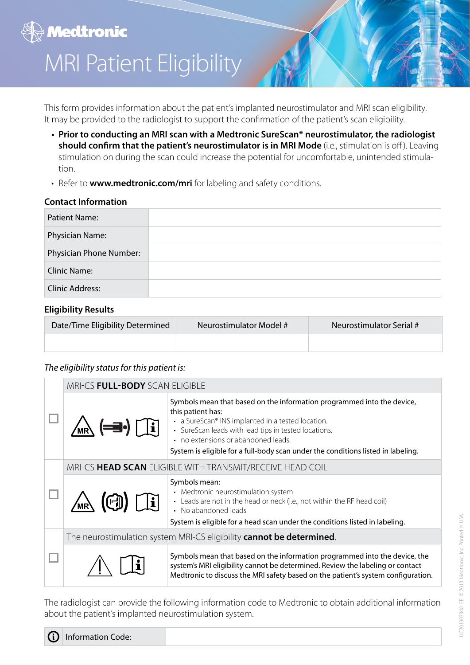# **A** Medtronic MRI Patient Eligibility

This form provides information about the patient's implanted neurostimulator and MRI scan eligibility. It may be provided to the radiologist to support the confirmation of the patient's scan eligibility.

- **• Prior to conducting an MRI scan with a Medtronic SureScan® neurostimulator, the radiologist should confirm that the patient's neurostimulator is in MRI Mode** (i.e., stimulation is off ). Leaving stimulation on during the scan could increase the potential for uncomfortable, unintended stimulation.
- Refer to **www.medtronic.com/mri** for labeling and safety conditions.

# **Contact Information**

| <b>Patient Name:</b>    |  |
|-------------------------|--|
| Physician Name:         |  |
| Physician Phone Number: |  |
| <b>Clinic Name:</b>     |  |
| <b>Clinic Address:</b>  |  |

### **Eligibility Results**

| Date/Time Eligibility Determined | Neurostimulator Model # | Neurostimulator Serial # |
|----------------------------------|-------------------------|--------------------------|
|                                  |                         |                          |

#### *The eligibility status for this patient is:*

|  | MRI-CS FULL-BODY SCAN ELIGIBLE                                       |                                                                                                                                                                                                                                                                                                                                     |  |
|--|----------------------------------------------------------------------|-------------------------------------------------------------------------------------------------------------------------------------------------------------------------------------------------------------------------------------------------------------------------------------------------------------------------------------|--|
|  | $\left(\right)$                                                      | Symbols mean that based on the information programmed into the device,<br>this patient has:<br>• a SureScan® INS implanted in a tested location.<br>• SureScan leads with lead tips in tested locations.<br>• no extensions or abandoned leads.<br>System is eligible for a full-body scan under the conditions listed in labeling. |  |
|  | MRI-CS HEAD SCAN ELIGIBLE WITH TRANSMIT/RECEIVE HEAD COIL            |                                                                                                                                                                                                                                                                                                                                     |  |
|  | $\prod_{i=1}^{n}$<br>$\textcircled{f}$                               | Symbols mean:<br>• Medtronic neurostimulation system<br>• Leads are not in the head or neck (i.e., not within the RF head coil)<br>• No abandoned leads<br>System is eligible for a head scan under the conditions listed in labeling.                                                                                              |  |
|  | The neurostimulation system MRI-CS eligibility cannot be determined. |                                                                                                                                                                                                                                                                                                                                     |  |
|  |                                                                      | Symbols mean that based on the information programmed into the device, the<br>system's MRI eligibility cannot be determined. Review the labeling or contact<br>Medtronic to discuss the MRI safety based on the patient's system configuration.                                                                                     |  |

The radiologist can provide the following information code to Medtronic to obtain additional information about the patient's implanted neurostimulation system.